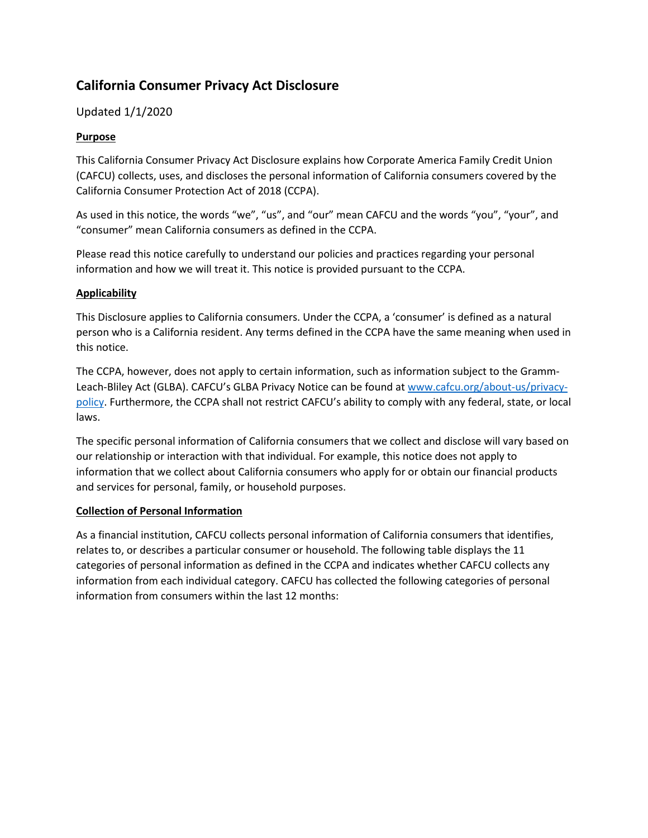# **California Consumer Privacy Act Disclosure**

# Updated 1/1/2020

## **Purpose**

This California Consumer Privacy Act Disclosure explains how Corporate America Family Credit Union (CAFCU) collects, uses, and discloses the personal information of California consumers covered by the California Consumer Protection Act of 2018 (CCPA).

As used in this notice, the words "we", "us", and "our" mean CAFCU and the words "you", "your", and "consumer" mean California consumers as defined in the CCPA.

Please read this notice carefully to understand our policies and practices regarding your personal information and how we will treat it. This notice is provided pursuant to the CCPA.

#### **Applicability**

This Disclosure applies to California consumers. Under the CCPA, a 'consumer' is defined as a natural person who is a California resident. Any terms defined in the CCPA have the same meaning when used in this notice.

The CCPA, however, does not apply to certain information, such as information subject to the GrammLeach-Bliley Act (GLBA). CAFCU's GLBA Privacy Notice can be found at [www.cafcu.org/about-us/privacy](http://www.cafcu.org/about-us/privacy-policy)[policy.](http://www.cafcu.org/about-us/privacy-policy) Furthermore, the CCPA shall not restrict CAFCU's ability to comply with any federal, state, or local laws.

The specific personal information of California consumers that we collect and disclose will vary based on our relationship or interaction with that individual. For example, this notice does not apply to information that we collect about California consumers who apply for or obtain our financial products and services for personal, family, or household purposes.

#### **Collection of Personal Information**

As a financial institution, CAFCU collects personal information of California consumers that identifies, relates to, or describes a particular consumer or household. The following table displays the 11 categories of personal information as defined in the CCPA and indicates whether CAFCU collects any information from each individual category. CAFCU has collected the following categories of personal information from consumers within the last 12 months: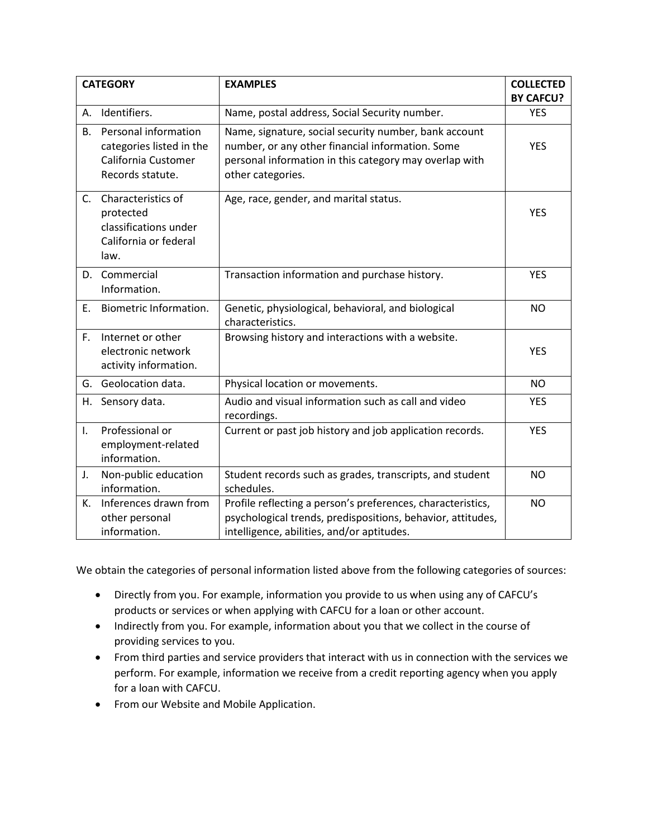| <b>CATEGORY</b> |                                                                                             | <b>EXAMPLES</b>                                                                                                                                                                          | <b>COLLECTED</b><br><b>BY CAFCU?</b> |
|-----------------|---------------------------------------------------------------------------------------------|------------------------------------------------------------------------------------------------------------------------------------------------------------------------------------------|--------------------------------------|
| А.              | Identifiers.                                                                                | Name, postal address, Social Security number.                                                                                                                                            | <b>YES</b>                           |
| <b>B.</b>       | Personal information<br>categories listed in the<br>California Customer<br>Records statute. | Name, signature, social security number, bank account<br>number, or any other financial information. Some<br>personal information in this category may overlap with<br>other categories. | <b>YES</b>                           |
| C.              | Characteristics of<br>protected<br>classifications under<br>California or federal<br>law.   | Age, race, gender, and marital status.                                                                                                                                                   | <b>YES</b>                           |
| D.              | Commercial<br>Information.                                                                  | Transaction information and purchase history.                                                                                                                                            | <b>YES</b>                           |
| Ε.              | Biometric Information.                                                                      | Genetic, physiological, behavioral, and biological<br>characteristics.                                                                                                                   | <b>NO</b>                            |
| F.              | Internet or other<br>electronic network<br>activity information.                            | Browsing history and interactions with a website.                                                                                                                                        | <b>YES</b>                           |
| G.              | Geolocation data.                                                                           | Physical location or movements.                                                                                                                                                          | <b>NO</b>                            |
| Н.              | Sensory data.                                                                               | Audio and visual information such as call and video<br>recordings.                                                                                                                       | <b>YES</b>                           |
| I.              | Professional or<br>employment-related<br>information.                                       | Current or past job history and job application records.                                                                                                                                 | <b>YES</b>                           |
| J.              | Non-public education<br>information.                                                        | Student records such as grades, transcripts, and student<br>schedules.                                                                                                                   | <b>NO</b>                            |
| К.              | Inferences drawn from<br>other personal<br>information.                                     | Profile reflecting a person's preferences, characteristics,<br>psychological trends, predispositions, behavior, attitudes,<br>intelligence, abilities, and/or aptitudes.                 | <b>NO</b>                            |

We obtain the categories of personal information listed above from the following categories of sources:

- Directly from you. For example, information you provide to us when using any of CAFCU's products or services or when applying with CAFCU for a loan or other account.
- Indirectly from you. For example, information about you that we collect in the course of providing services to you.
- From third parties and service providers that interact with us in connection with the services we perform. For example, information we receive from a credit reporting agency when you apply for a loan with CAFCU.
- From our Website and Mobile Application.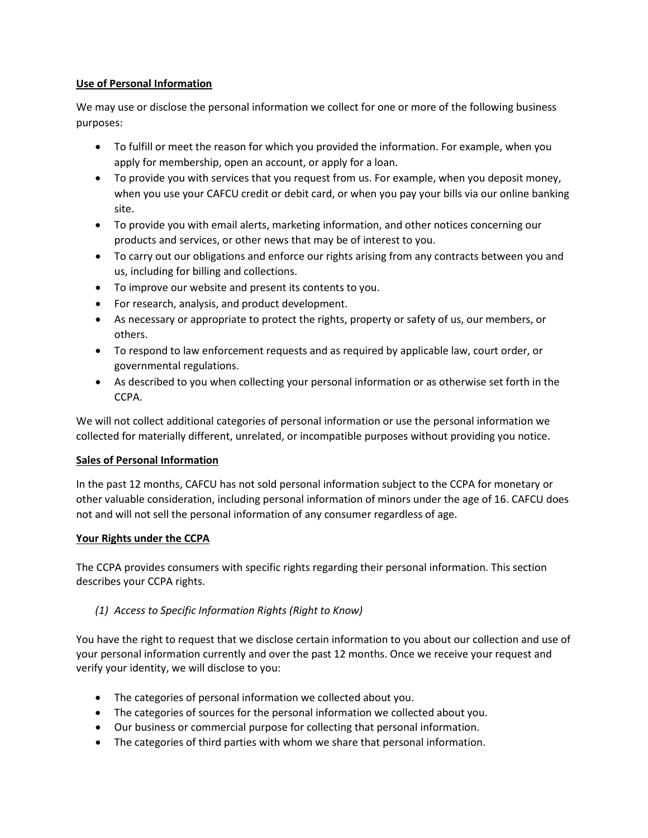### **Use of Personal Information**

We may use or disclose the personal information we collect for one or more of the following business purposes:

- To fulfill or meet the reason for which you provided the information. For example, when you apply for membership, open an account, or apply for a loan.
- To provide you with services that you request from us. For example, when you deposit money, when you use your CAFCU credit or debit card, or when you pay your bills via our online banking site.
- To provide you with email alerts, marketing information, and other notices concerning our products and services, or other news that may be of interest to you.
- To carry out our obligations and enforce our rights arising from any contracts between you and us, including for billing and collections.
- To improve our website and present its contents to you.
- For research, analysis, and product development.
- As necessary or appropriate to protect the rights, property or safety of us, our members, or others.
- To respond to law enforcement requests and as required by applicable law, court order, or governmental regulations.
- As described to you when collecting your personal information or as otherwise set forth in the CCPA.

We will not collect additional categories of personal information or use the personal information we collected for materially different, unrelated, or incompatible purposes without providing you notice.

## **Sales of Personal Information**

In the past 12 months, CAFCU has not sold personal information subject to the CCPA for monetary or other valuable consideration, including personal information of minors under the age of 16. CAFCU does not and will not sell the personal information of any consumer regardless of age.

## **Your Rights under the CCPA**

The CCPA provides consumers with specific rights regarding their personal information. This section describes your CCPA rights.

## *(1) Access to Specific Information Rights (Right to Know)*

You have the right to request that we disclose certain information to you about our collection and use of your personal information currently and over the past 12 months. Once we receive your request and verify your identity, we will disclose to you:

- The categories of personal information we collected about you.
- The categories of sources for the personal information we collected about you.
- Our business or commercial purpose for collecting that personal information.
- The categories of third parties with whom we share that personal information.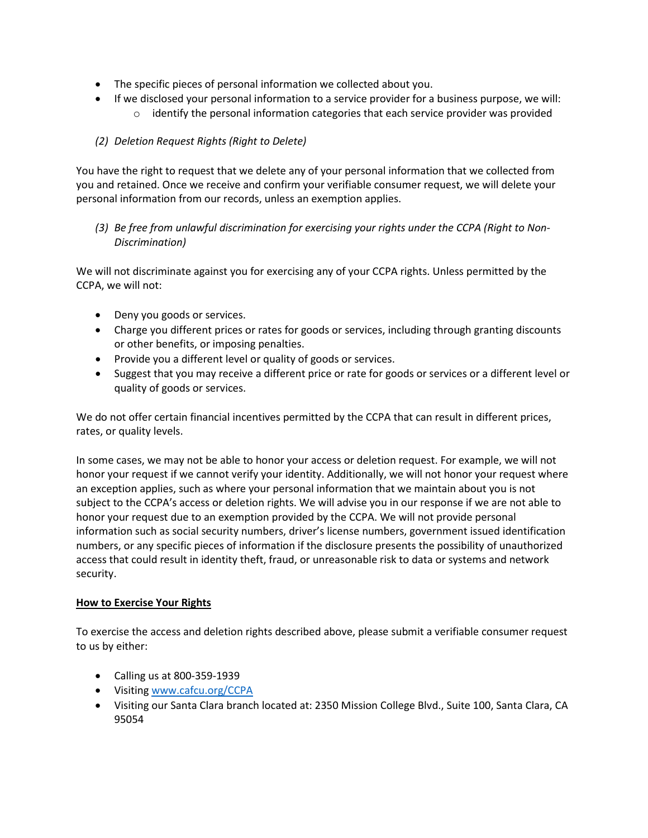- The specific pieces of personal information we collected about you.
- If we disclosed your personal information to a service provider for a business purpose, we will:
	- $\circ$  identify the personal information categories that each service provider was provided

## *(2) Deletion Request Rights (Right to Delete)*

You have the right to request that we delete any of your personal information that we collected from you and retained. Once we receive and confirm your verifiable consumer request, we will delete your personal information from our records, unless an exemption applies.

*(3) Be free from unlawful discrimination for exercising your rights under the CCPA (Right to Non-Discrimination)*

We will not discriminate against you for exercising any of your CCPA rights. Unless permitted by the CCPA, we will not:

- Deny you goods or services.
- Charge you different prices or rates for goods or services, including through granting discounts or other benefits, or imposing penalties.
- Provide you a different level or quality of goods or services.
- Suggest that you may receive a different price or rate for goods or services or a different level or quality of goods or services.

We do not offer certain financial incentives permitted by the CCPA that can result in different prices, rates, or quality levels.

In some cases, we may not be able to honor your access or deletion request. For example, we will not honor your request if we cannot verify your identity. Additionally, we will not honor your request where an exception applies, such as where your personal information that we maintain about you is not subject to the CCPA's access or deletion rights. We will advise you in our response if we are not able to honor your request due to an exemption provided by the CCPA. We will not provide personal information such as social security numbers, driver's license numbers, government issued identification numbers, or any specific pieces of information if the disclosure presents the possibility of unauthorized access that could result in identity theft, fraud, or unreasonable risk to data or systems and network security.

## **How to Exercise Your Rights**

To exercise the access and deletion rights described above, please submit a verifiable consumer request to us by either:

- Calling us at 800-359-1939
- Visiting [www.cafcu.org/](http://www.cafcu.org/)CCPA
- Visiting our Santa Clara branch located at: 2350 Mission College Blvd., Suite 100, Santa Clara, CA 95054